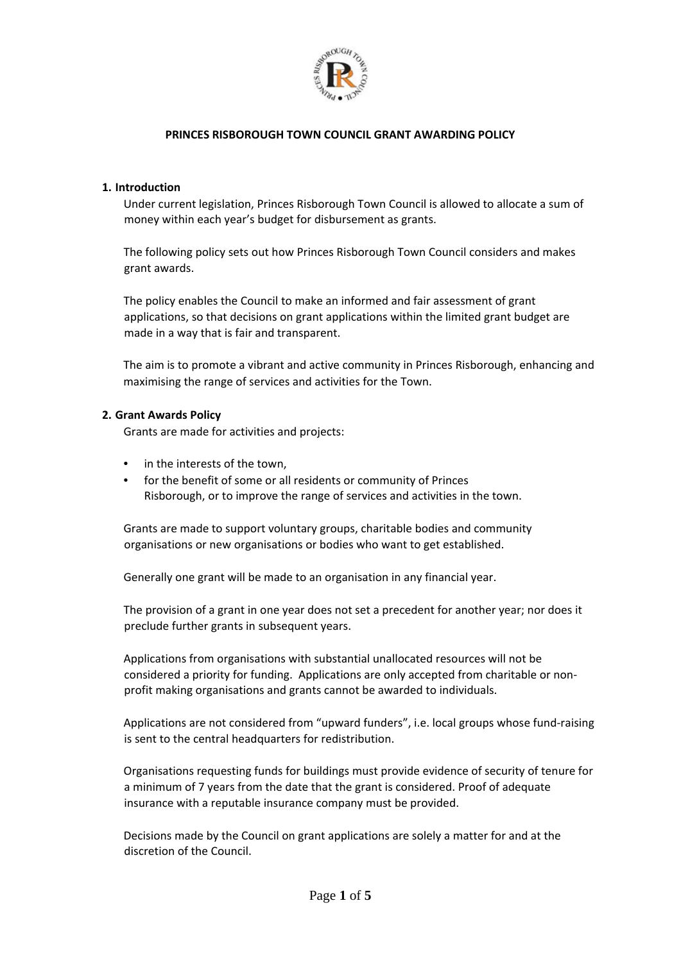

### **1. Introduction**

Under current legislation, Princes Risborough Town Council is allowed to allocate a sum of money within each year's budget for disbursement as grants.

The following policy sets out how Princes Risborough Town Council considers and makes grant awards.

The policy enables the Council to make an informed and fair assessment of grant applications, so that decisions on grant applications within the limited grant budget are made in a way that is fair and transparent.

The aim is to promote a vibrant and active community in Princes Risborough, enhancing and maximising the range of services and activities for the Town.

### **2. Grant Awards Policy**

Grants are made for activities and projects:

- in the interests of the town,
- for the benefit of some or all residents or community of Princes Risborough, or to improve the range of services and activities in the town.

Grants are made to support voluntary groups, charitable bodies and community organisations or new organisations or bodies who want to get established.

Generally one grant will be made to an organisation in any financial year.

The provision of a grant in one year does not set a precedent for another year; nor does it preclude further grants in subsequent years.

Applications from organisations with substantial unallocated resources will not be considered a priority for funding. Applications are only accepted from charitable or non‐ profit making organisations and grants cannot be awarded to individuals.

Applications are not considered from "upward funders", i.e. local groups whose fund‐raising is sent to the central headquarters for redistribution.

Organisations requesting funds for buildings must provide evidence of security of tenure for a minimum of 7 years from the date that the grant is considered. Proof of adequate insurance with a reputable insurance company must be provided.

Decisions made by the Council on grant applications are solely a matter for and at the discretion of the Council.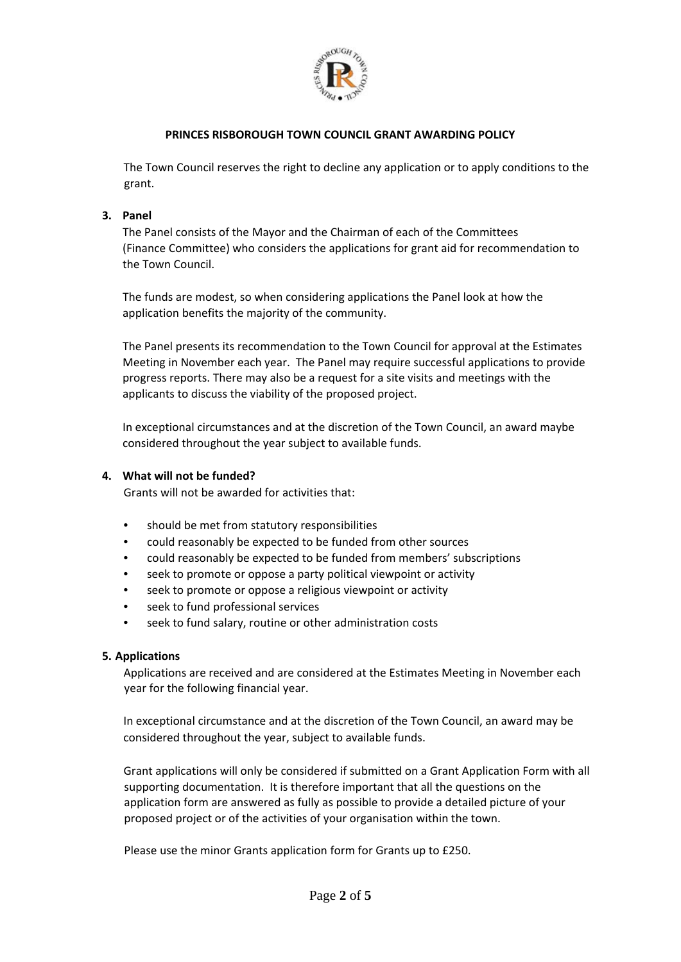

The Town Council reserves the right to decline any application or to apply conditions to the grant.

## **3. Panel**

The Panel consists of the Mayor and the Chairman of each of the Committees (Finance Committee) who considers the applications for grant aid for recommendation to the Town Council.

The funds are modest, so when considering applications the Panel look at how the application benefits the majority of the community.

The Panel presents its recommendation to the Town Council for approval at the Estimates Meeting in November each year. The Panel may require successful applications to provide progress reports. There may also be a request for a site visits and meetings with the applicants to discuss the viability of the proposed project.

In exceptional circumstances and at the discretion of the Town Council, an award maybe considered throughout the year subject to available funds.

### **4. What will not be funded?**

Grants will not be awarded for activities that:

- should be met from statutory responsibilities
- could reasonably be expected to be funded from other sources
- could reasonably be expected to be funded from members' subscriptions
- seek to promote or oppose a party political viewpoint or activity
- seek to promote or oppose a religious viewpoint or activity
- seek to fund professional services
- seek to fund salary, routine or other administration costs

#### **5. Applications**

Applications are received and are considered at the Estimates Meeting in November each year for the following financial year.

In exceptional circumstance and at the discretion of the Town Council, an award may be considered throughout the year, subject to available funds.

Grant applications will only be considered if submitted on a Grant Application Form with all supporting documentation. It is therefore important that all the questions on the application form are answered as fully as possible to provide a detailed picture of your proposed project or of the activities of your organisation within the town.

Please use the minor Grants application form for Grants up to £250.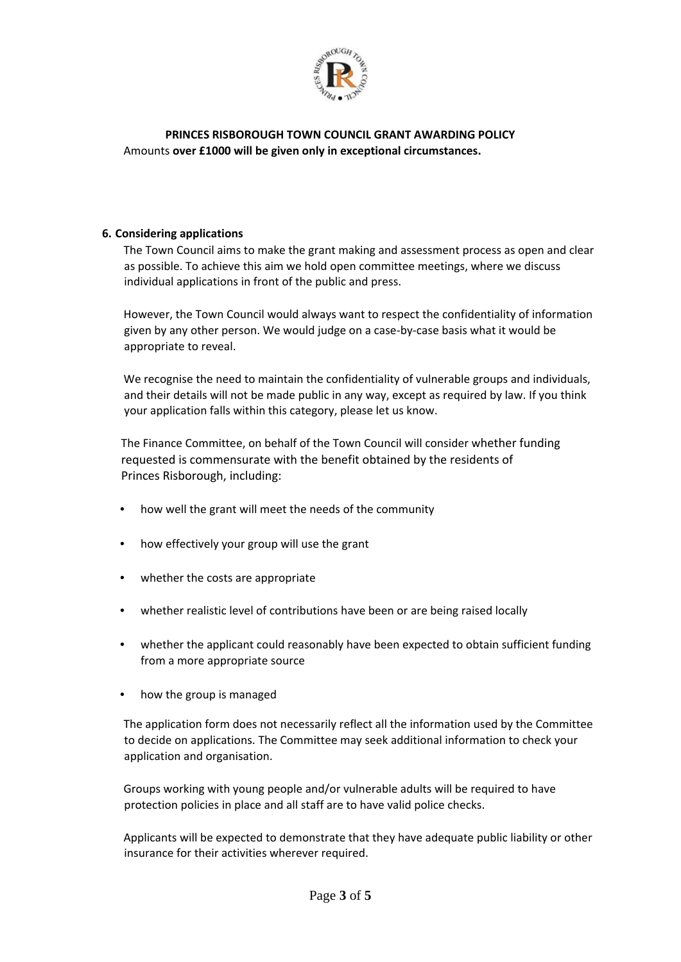

# **PRINCES RISBOROUGH TOWN COUNCIL GRANT AWARDING POLICY** Amounts **over £1000 will be given only in exceptional circumstances.**

## **6. Considering applications**

The Town Council aims to make the grant making and assessment process as open and clear as possible. To achieve this aim we hold open committee meetings, where we discuss individual applications in front of the public and press.

However, the Town Council would always want to respect the confidentiality of information given by any other person. We would judge on a case‐by‐case basis what it would be appropriate to reveal.

We recognise the need to maintain the confidentiality of vulnerable groups and individuals, and their details will not be made public in any way, except as required by law. If you think your application falls within this category, please let us know.

The Finance Committee, on behalf of the Town Council will consider whether funding requested is commensurate with the benefit obtained by the residents of Princes Risborough, including:

- how well the grant will meet the needs of the community
- how effectively your group will use the grant
- whether the costs are appropriate
- whether realistic level of contributions have been or are being raised locally
- whether the applicant could reasonably have been expected to obtain sufficient funding from a more appropriate source
- how the group is managed

The application form does not necessarily reflect all the information used by the Committee to decide on applications. The Committee may seek additional information to check your application and organisation.

Groups working with young people and/or vulnerable adults will be required to have protection policies in place and all staff are to have valid police checks.

Applicants will be expected to demonstrate that they have adequate public liability or other insurance for their activities wherever required.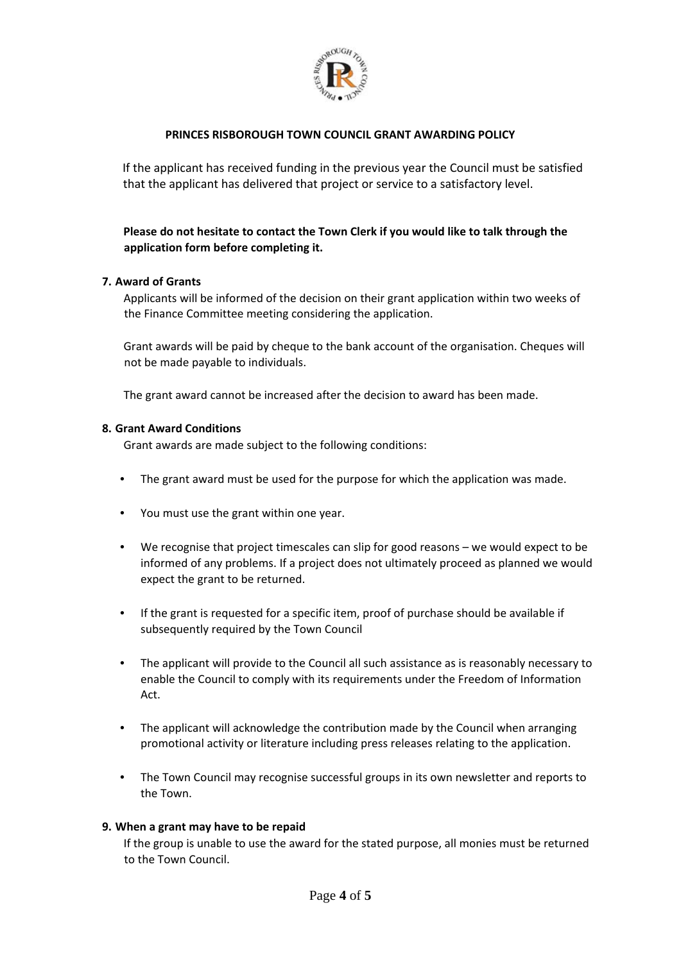

If the applicant has received funding in the previous year the Council must be satisfied that the applicant has delivered that project or service to a satisfactory level.

# **Please do not hesitate to contact the Town Clerk if you would like to talk through the application form before completing it.**

### **7. Award of Grants**

Applicants will be informed of the decision on their grant application within two weeks of the Finance Committee meeting considering the application.

Grant awards will be paid by cheque to the bank account of the organisation. Cheques will not be made payable to individuals.

The grant award cannot be increased after the decision to award has been made.

### **8. Grant Award Conditions**

Grant awards are made subject to the following conditions:

- The grant award must be used for the purpose for which the application was made.
- You must use the grant within one year.
- We recognise that project timescales can slip for good reasons we would expect to be informed of any problems. If a project does not ultimately proceed as planned we would expect the grant to be returned.
- If the grant is requested for a specific item, proof of purchase should be available if subsequently required by the Town Council
- The applicant will provide to the Council all such assistance as is reasonably necessary to enable the Council to comply with its requirements under the Freedom of Information Act.
- The applicant will acknowledge the contribution made by the Council when arranging promotional activity or literature including press releases relating to the application.
- The Town Council may recognise successful groups in its own newsletter and reports to the Town.

#### **9. When a grant may have to be repaid**

If the group is unable to use the award for the stated purpose, all monies must be returned to the Town Council.